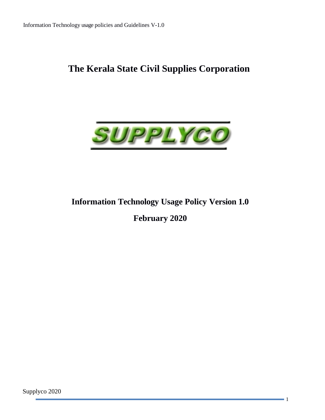# **The Kerala State Civil Supplies Corporation**



# **Information Technology Usage Policy Version 1.0**

**February 2020**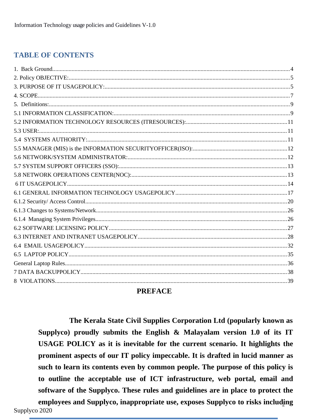# **TABLE OF CONTENTS**

# **PREFACE**

The Kerala State Civil Supplies Corporation Ltd (popularly known as Supplyco) proudly submits the English & Malayalam version 1.0 of its IT USAGE POLICY as it is inevitable for the current scenario. It highlights the prominent aspects of our IT policy impeccable. It is drafted in lucid manner as such to learn its contents even by common people. The purpose of this policy is to outline the acceptable use of ICT infrastructure, web portal, email and software of the Supplyco. These rules and guidelines are in place to protect the employees and Supplyco, inappropriate use, exposes Supplyco to risks including Supplyco 2020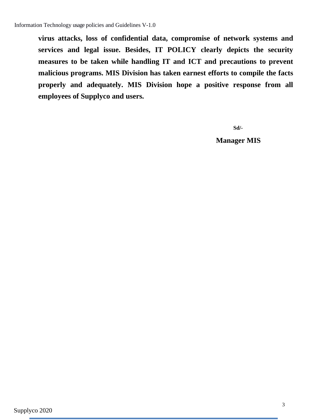**virus attacks, loss of confidential data, compromise of network systems and services and legal issue. Besides, IT POLICY clearly depicts the security measures to be taken while handling IT and ICT and precautions to prevent malicious programs. MIS Division has taken earnest efforts to compile the facts properly and adequately. MIS Division hope a positive response from all employees of Supplyco and users.**

**Sd/-**

 **Manager MIS**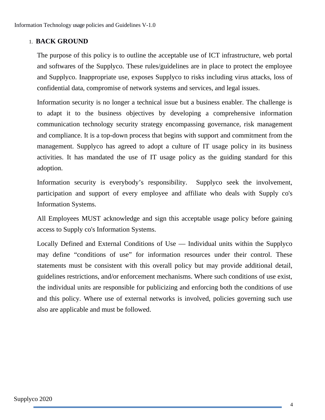## <span id="page-3-0"></span>1. **BACK GROUND**

The purpose of this policy is to outline the acceptable use of ICT infrastructure, web portal and softwares of the Supplyco. These rules/guidelines are in place to protect the employee and Supplyco. Inappropriate use, exposes Supplyco to risks including virus attacks, loss of confidential data, compromise of network systems and services, and legal issues.

Information security is no longer a technical issue but a business enabler. The challenge is to adapt it to the business objectives by developing a comprehensive information communication technology security strategy encompassing governance, risk management and compliance. It is a top-down process that begins with support and commitment from the management. Supplyco has agreed to adopt a culture of IT usage policy in its business activities. It has mandated the use of IT usage policy as the guiding standard for this adoption.

Information security is everybody's responsibility. Supplyco seek the involvement, participation and support of every employee and affiliate who deals with Supply co's Information Systems.

All Employees MUST acknowledge and sign this acceptable usage policy before gaining access to Supply co's Information Systems.

Locally Defined and External Conditions of Use — Individual units within the Supplyco may define "conditions of use" for information resources under their control. These statements must be consistent with this overall policy but may provide additional detail, guidelines restrictions, and/or enforcement mechanisms. Where such conditions of use exist, the individual units are responsible for publicizing and enforcing both the conditions of use and this policy. Where use of external networks is involved, policies governing such use also are applicable and must be followed.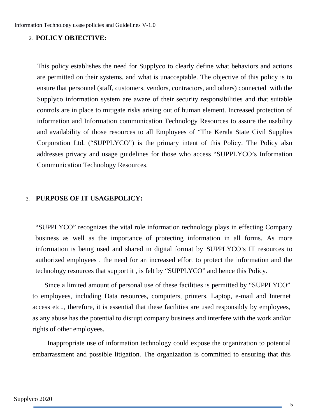#### <span id="page-4-1"></span>2. **POLICY OBJECTIVE:**

This policy establishes the need for Supplyco to clearly define what behaviors and actions are permitted on their systems, and what is unacceptable. The objective of this policy is to ensure that personnel (staff, customers, vendors, contractors, and others) connected with the Supplyco information system are aware of their security responsibilities and that suitable controls are in place to mitigate risks arising out of human element. Increased protection of information and Information communication Technology Resources to assure the usability and availability of those resources to all Employees of "The Kerala State Civil Supplies Corporation Ltd. ("SUPPLYCO") is the primary intent of this Policy. The Policy also addresses privacy and usage guidelines for those who access "SUPPLYCO's Information Communication Technology Resources.

#### <span id="page-4-0"></span>3. **PURPOSE OF IT USAGEPOLICY:**

"SUPPLYCO" recognizes the vital role information technology plays in effecting Company business as well as the importance of protecting information in all forms. As more information is being used and shared in digital format by SUPPLYCO's IT resources to authorized employees , the need for an increased effort to protect the information and the technology resources that support it , is felt by "SUPPLYCO" and hence this Policy.

 Since a limited amount of personal use of these facilities is permitted by "SUPPLYCO" to employees, including Data resources, computers, printers, Laptop, e-mail and Internet access etc.., therefore, it is essential that these facilities are used responsibly by employees, as any abuse has the potential to disrupt company business and interfere with the work and/or rights of other employees.

 Inappropriate use of information technology could expose the organization to potential embarrassment and possible litigation. The organization is committed to ensuring that this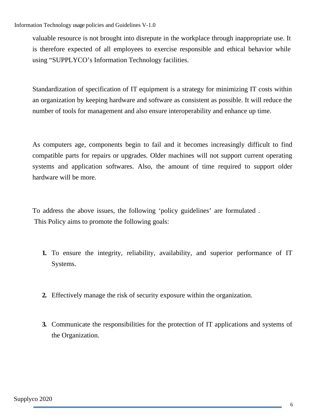valuable resource is not brought into disrepute in the workplace through inappropriate use. It is therefore expected of all employees to exercise responsible and ethical behavior while using "SUPPLYCO's Information Technology facilities.

Standardization of specification of IT equipment is a strategy for minimizing IT costs within an organization by keeping hardware and software as consistent as possible. It will reduce the number of tools for management and also ensure interoperability and enhance up time.

As computers age, components begin to fail and it becomes increasingly difficult to find compatible parts for repairs or upgrades. Older machines will not support current operating systems and application softwares. Also, the amount of time required to support older hardware will be more.

To address the above issues, the following 'policy guidelines' are formulated . This Policy aims to promote the following goals:

- **1.** To ensure the integrity, reliability, availability, and superior performance of IT Systems.
- **2.** Effectively manage the risk of security exposure within the organization.
- **3.** Communicate the responsibilities for the protection of IT applications and systems of the Organization.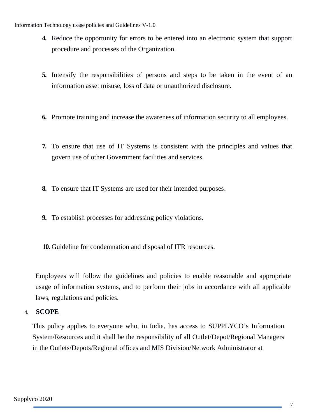- **4.** Reduce the opportunity for errors to be entered into an electronic system that support procedure and processes of the Organization.
- **5.** Intensify the responsibilities of persons and steps to be taken in the event of an information asset misuse, loss of data or unauthorized disclosure.
- **6.** Promote training and increase the awareness of information security to all employees.
- **7.** To ensure that use of IT Systems is consistent with the principles and values that govern use of other Government facilities and services.
- **8.** To ensure that IT Systems are used for their intended purposes.
- **9.** To establish processes for addressing policy violations.
- **10.** Guideline for condemnation and disposal of ITR resources.

Employees will follow the guidelines and policies to enable reasonable and appropriate usage of information systems, and to perform their jobs in accordance with all applicable laws, regulations and policies.

<span id="page-6-0"></span>4. **SCOPE**

This policy applies to everyone who, in India, has access to SUPPLYCO's Information System/Resources and it shall be the responsibility of all Outlet/Depot/Regional Managers in the Outlets/Depots/Regional offices and MIS Division/Network Administrator at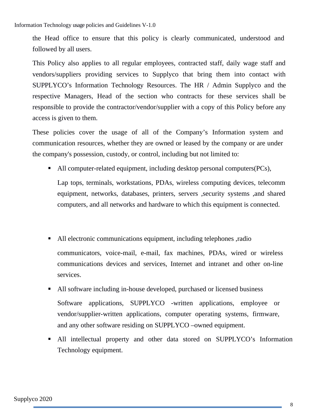the Head office to ensure that this policy is clearly communicated, understood and followed by all users.

This Policy also applies to all regular employees, contracted staff, daily wage staff and vendors/suppliers providing services to Supplyco that bring them into contact with SUPPLYCO's Information Technology Resources. The HR / Admin Supplyco and the respective Managers, Head of the section who contracts for these services shall be responsible to provide the contractor/vendor/supplier with a copy of this Policy before any access is given to them.

These policies cover the usage of all of the Company's Information system and communication resources, whether they are owned or leased by the company or are under the company's possession, custody, or control, including but not limited to:

• All computer-related equipment, including desktop personal computers(PCs),

Lap tops, terminals, workstations, PDAs, wireless computing devices, telecomm equipment, networks, databases, printers, servers ,security systems ,and shared computers, and all networks and hardware to which this equipment is connected.

- All electronic communications equipment, including telephones ,radio communicators, voice-mail, e-mail, fax machines, PDAs, wired or wireless communications devices and services, Internet and intranet and other on-line services.
- All software including in-house developed, purchased or licensed business Software applications, SUPPLYCO -written applications, employee or vendor/supplier-written applications, computer operating systems, firmware, and any other software residing on SUPPLYCO –owned equipment.
- All intellectual property and other data stored on SUPPLYCO's Information Technology equipment.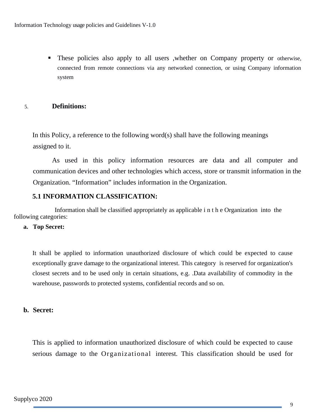These policies also apply to all users ,whether on Company property or otherwise, connected from remote connections via any networked connection, or using Company information system

### <span id="page-8-1"></span>5. **Definitions:**

In this Policy, a reference to the following word(s) shall have the following meanings assigned to it.

As used in this policy information resources are data and all computer and communication devices and other technologies which access, store or transmit information in the Organization. "Information" includes information in the Organization.

## <span id="page-8-0"></span>**5.1 INFORMATION CLASSIFICATION:**

 Information shall be classified appropriately as applicable i n t h e Organization into the following categories:

#### **a. Top Secret:**

It shall be applied to information unauthorized disclosure of which could be expected to cause exceptionally grave damage to the organizational interest. This category is reserved for organization's closest secrets and to be used only in certain situations, e.g. .Data availability of commodity in the warehouse, passwords to protected systems, confidential records and so on.

### **b. Secret:**

This is applied to information unauthorized disclosure of which could be expected to cause serious damage to the Organizational interest. This classification should be used for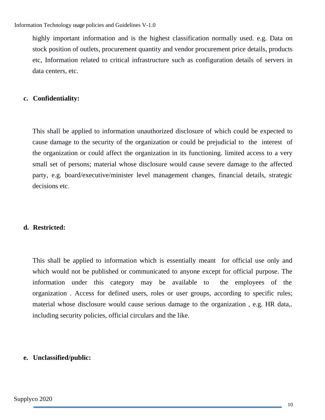highly important information and is the highest classification normally used. e.g. Data on stock position of outlets, procurement quantity and vendor procurement price details, products etc, Information related to critical infrastructure such as configuration details of servers in data centers, etc.

## **c. Confidentiality:**

This shall be applied to information unauthorized disclosure of which could be expected to cause damage to the security of the organization or could be prejudicial to the interest of the organization or could affect the organization in its functioning. limited access to a very small set of persons; material whose disclosure would cause severe damage to the affected party, e.g. board/executive/minister level management changes, financial details, strategic decisions etc.

# **d. Restricted:**

This shall be applied to information which is essentially meant for official use only and which would not be published or communicated to anyone except for official purpose. The information under this category may be available to the employees of the organization . Access for defined users, roles or user groups, according to specific rules; material whose disclosure would cause serious damage to the organization , e.g. HR data,. including security policies, official circulars and the like.

### **e. Unclassified/public:**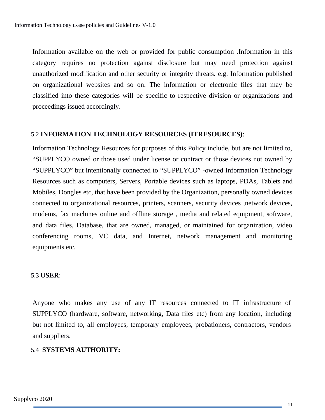Information available on the web or provided for public consumption .Information in this category requires no protection against disclosure but may need protection against unauthorized modification and other security or integrity threats. e.g. Information published on organizational websites and so on. The information or electronic files that may be classified into these categories will be specific to respective division or organizations and proceedings issued accordingly.

#### <span id="page-10-2"></span>5.2 **INFORMATION TECHNOLOGY RESOURCES (ITRESOURCES)**:

Information Technology Resources for purposes of this Policy include, but are not limited to, "SUPPLYCO owned or those used under license or contract or those devices not owned by "SUPPLYCO" but intentionally connected to "SUPPLYCO" -owned Information Technology Resources such as computers, Servers, Portable devices such as laptops, PDAs, Tablets and Mobiles, Dongles etc, that have been provided by the Organization, personally owned devices connected to organizational resources, printers, scanners, security devices, network devices, modems, fax machines online and offline storage , media and related equipment, software, and data files, Database, that are owned, managed, or maintained for organization, video conferencing rooms, VC data, and Internet, network management and monitoring equipments.etc.

#### <span id="page-10-1"></span>5.3 **USER**:

Anyone who makes any use of any IT resources connected to IT infrastructure of SUPPLYCO (hardware, software, networking, Data files etc) from any location, including but not limited to, all employees, temporary employees, probationers, contractors, vendors and suppliers.

#### <span id="page-10-0"></span>5.4 **SYSTEMS AUTHORITY:**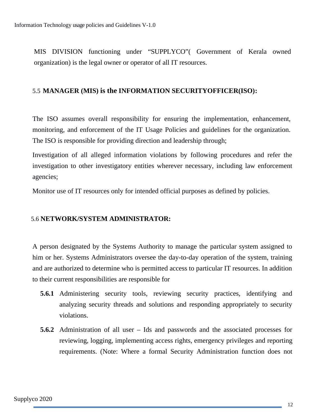MIS DIVISION functioning under "SUPPLYCO"( Government of Kerala owned organization) is the legal owner or operator of all IT resources.

## <span id="page-11-1"></span>5.5 **MANAGER (MIS) is the INFORMATION SECURITYOFFICER(ISO):**

The ISO assumes overall responsibility for ensuring the implementation, enhancement, monitoring, and enforcement of the IT Usage Policies and guidelines for the organization. The ISO is responsible for providing direction and leadership through;

Investigation of all alleged information violations by following procedures and refer the investigation to other investigatory entities wherever necessary, including law enforcement agencies;

Monitor use of IT resources only for intended official purposes as defined by policies.

# <span id="page-11-0"></span>5.6 **NETWORK/SYSTEM ADMINISTRATOR:**

A person designated by the Systems Authority to manage the particular system assigned to him or her. Systems Administrators oversee the day-to-day operation of the system, training and are authorized to determine who is permitted access to particular IT resources. In addition to their current responsibilities are responsible for

- **5.6.1** Administering security tools, reviewing security practices, identifying and analyzing security threads and solutions and responding appropriately to security violations.
- **5.6.2** Administration of all user Ids and passwords and the associated processes for reviewing, logging, implementing access rights, emergency privileges and reporting requirements. (Note: Where a formal Security Administration function does not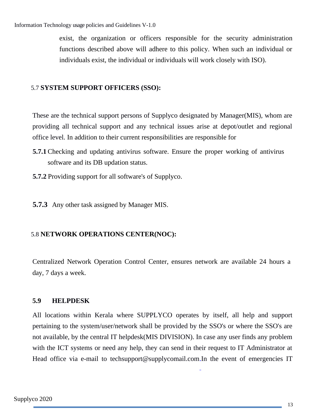exist, the organization or officers responsible for the security administration functions described above will adhere to this policy. When such an individual or individuals exist, the individual or individuals will work closely with ISO).

# <span id="page-12-1"></span>5.7 **SYSTEM SUPPORT OFFICERS (SSO):**

These are the technical support persons of Supplyco designated by Manager(MIS), whom are providing all technical support and any technical issues arise at depot/outlet and regional office level. In addition to their current responsibilities are responsible for

- **5.7.1** Checking and updating antivirus software. Ensure the proper working of antivirus software and its DB updation status.
- **5.7.2** Providing support for all software's of Supplyco.

**5.7.3** Any other task assigned by Manager MIS.

# <span id="page-12-0"></span>5.8 **NETWORK OPERATIONS CENTER(NOC):**

Centralized Network Operation Control Center, ensures network are available 24 hours a day, 7 days a week.

# **5.9 HELPDESK**

All locations within Kerala where SUPPLYCO operates by itself, all help and support pertaining to the system/user/network shall be provided by the SSO's or where the SSO's are not available, by the central IT helpdesk(MIS DIVISION). In case any user finds any problem with the ICT systems or need any help, they can send in their request to IT Administrator at Head office via e-mail to [techsupport@supplycomail.com.In](mailto:techsupport@supplycomail.com.In) the event of emergencies IT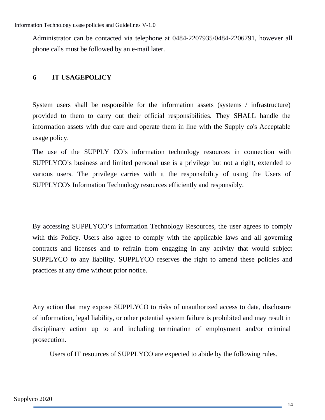Administrator can be contacted via telephone at 0484-2207935/0484-2206791, however all phone calls must be followed by an e-mail later.

## <span id="page-13-0"></span>**6 IT USAGEPOLICY**

System users shall be responsible for the information assets (systems / infrastructure) provided to them to carry out their official responsibilities. They SHALL handle the information assets with due care and operate them in line with the Supply co's Acceptable usage policy.

The use of the SUPPLY CO's information technology resources in connection with SUPPLYCO's business and limited personal use is a privilege but not a right, extended to various users. The privilege carries with it the responsibility of using the Users of SUPPLYCO's Information Technology resources efficiently and responsibly.

By accessing SUPPLYCO's Information Technology Resources, the user agrees to comply with this Policy. Users also agree to comply with the applicable laws and all governing contracts and licenses and to refrain from engaging in any activity that would subject SUPPLYCO to any liability. SUPPLYCO reserves the right to amend these policies and practices at any time without prior notice.

Any action that may expose SUPPLYCO to risks of unauthorized access to data, disclosure of information, legal liability, or other potential system failure is prohibited and may result in disciplinary action up to and including termination of employment and/or criminal prosecution.

Users of IT resources of SUPPLYCO are expected to abide by the following rules.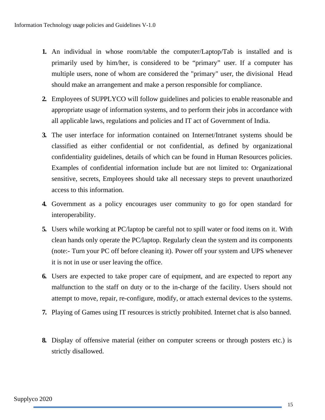- **1.** An individual in whose room/table the computer/Laptop/Tab is installed and is primarily used by him/her, is considered to be "primary" user. If a computer has multiple users, none of whom are considered the "primary" user, the divisional Head should make an arrangement and make a person responsible for compliance.
- **2.** Employees of SUPPLYCO will follow guidelines and policies to enable reasonable and appropriate usage of information systems, and to perform their jobs in accordance with all applicable laws, regulations and policies and IT act of Government of India.
- **3.** The user interface for information contained on Internet/Intranet systems should be classified as either confidential or not confidential, as defined by organizational confidentiality guidelines, details of which can be found in Human Resources policies. Examples of confidential information include but are not limited to: Organizational sensitive, secrets, Employees should take all necessary steps to prevent unauthorized access to this information.
- **4.** Government as a policy encourages user community to go for open standard for interoperability.
- **5.** Users while working at PC/laptop be careful not to spill water or food items on it. With clean hands only operate the PC/laptop. Regularly clean the system and its components (note:- Turn your PC off before cleaning it). Power off your system and UPS whenever it is not in use or user leaving the office.
- **6.** Users are expected to take proper care of equipment, and are expected to report any malfunction to the staff on duty or to the in-charge of the facility. Users should not attempt to move, repair, re-configure, modify, or attach external devices to the systems.
- **7.** Playing of Games using IT resources is strictly prohibited. Internet chat is also banned.
- **8.** Display of offensive material (either on computer screens or through posters etc.) is strictly disallowed.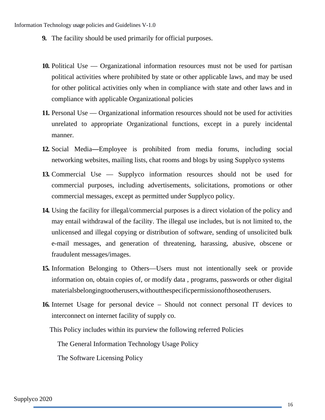- **9.** The facility should be used primarily for official purposes.
- **10.** Political Use Organizational information resources must not be used for partisan political activities where prohibited by state or other applicable laws, and may be used for other political activities only when in compliance with state and other laws and in compliance with applicable Organizational policies
- **11.** Personal Use Organizational information resources should not be used for activities unrelated to appropriate Organizational functions, except in a purely incidental manner.
- **12.** Social Media**—**Employee is prohibited from media forums, including social networking websites, mailing lists, chat rooms and blogs by using Supplyco systems
- **13.** Commercial Use Supplyco information resources should not be used for commercial purposes, including advertisements, solicitations, promotions or other commercial messages, except as permitted under Supplyco policy.
- **14.** Using the facility for illegal/commercial purposes is a direct violation of the policy and may entail withdrawal of the facility. The illegal use includes, but is not limited to, the unlicensed and illegal copying or distribution of software, sending of unsolicited bulk e-mail messages, and generation of threatening, harassing, abusive, obscene or fraudulent messages/images.
- **15.** Information Belonging to Others—Users must not intentionally seek or provide information on, obtain copies of, or modify data , programs, passwords or other digital materialsbelongingtootherusers,withoutthespecificpermissionofthoseotherusers.
- **16.** Internet Usage for personal device Should not connect personal IT devices to interconnect on internet facility of supply co.

This Policy includes within its purview the following referred Policies

The General Information Technology Usage Policy

The Software Licensing Policy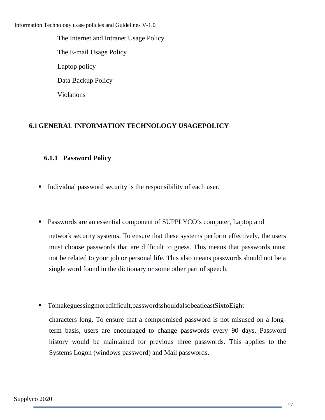The Internet and Intranet Usage Policy The E-mail Usage Policy Laptop policy Data Backup Policy Violations

# <span id="page-16-0"></span>**6.1GENERAL INFORMATION TECHNOLOGY USAGEPOLICY**

# **6.1.1 Password Policy**

- Individual password security is the responsibility of each user.
- Passwords are an essential component of SUPPLYCO's computer, Laptop and network security systems. To ensure that these systems perform effectively, the users must choose passwords that are difficult to guess. This means that passwords must not be related to your job or personal life. This also means passwords should not be a single word found in the dictionary or some other part of speech.
- Tomakeguessingmoredifficult,passwordsshouldalsobeatleastSixtoEight

characters long. To ensure that a compromised password is not misused on a longterm basis, users are encouraged to change passwords every 90 days. Password history would be maintained for previous three passwords. This applies to the Systems Logon (windows password) and Mail passwords.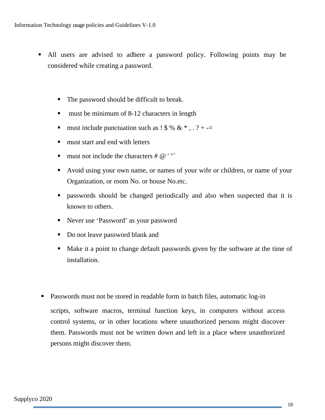- All users are advised to adhere a password policy. Following points may be considered while creating a password.
	- The password should be difficult to break.
	- **must be minimum of 8-12 characters in length**
	- must include punctuation such as  $1\frac{1}{2}$  % & \*, . ? + -=
	- **n** must start and end with letters
	- **must not include the characters #**  $@$  **'"**
	- Avoid using your own name, or names of your wife or children, or name of your Organization, or room No. or house No.etc.
	- passwords should be changed periodically and also when suspected that it is known to others.
	- Never use 'Password' as your password
	- Do not leave password blank and
	- Make it a point to change default passwords given by the software at the time of installation.
- Passwords must not be stored in readable form in batch files, automatic log-in scripts, software macros, terminal function keys, in computers without access control systems, or in other locations where unauthorized persons might discover them. Passwords must not be written down and left in a place where unauthorized persons might discover them.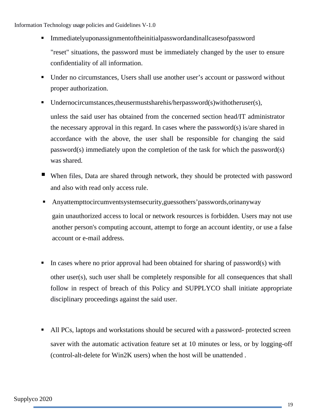- Immediatelyuponassignmentoftheinitialpasswordandinallcasesofpassword "reset" situations, the password must be immediately changed by the user to ensure confidentiality of all information.
- Under no circumstances, Users shall use another user's account or password without proper authorization.
- Undernocircumstances,theusermustsharehis/herpassword(s)withotheruser(s),

unless the said user has obtained from the concerned section head/IT administrator the necessary approval in this regard. In cases where the password(s) is/are shared in accordance with the above, the user shall be responsible for changing the said password(s) immediately upon the completion of the task for which the password(s) was shared.

- When files, Data are shared through network, they should be protected with password and also with read only access rule.
- Anyattempttocircumventsystemsecurity,guessothers'passwords,orinanyway gain unauthorized access to local or network resources is forbidden. Users may not use another person's computing account, attempt to forge an account identity, or use a false account or e-mail address.
- In cases where no prior approval had been obtained for sharing of password(s) with other user(s), such user shall be completely responsible for all consequences that shall follow in respect of breach of this Policy and SUPPLYCO shall initiate appropriate disciplinary proceedings against the said user.
- All PCs, laptops and workstations should be secured with a password- protected screen saver with the automatic activation feature set at 10 minutes or less, or by logging-off (control-alt-delete for Win2K users) when the host will be unattended .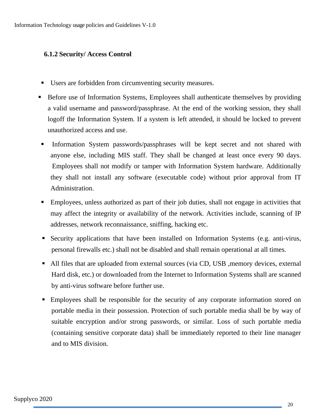# <span id="page-19-0"></span>**6.1.2 Security/ Access Control**

- Users are forbidden from circumventing security measures.
- **Before use of Information Systems, Employees shall authenticate themselves by providing** a valid username and password/passphrase. At the end of the working session, they shall logoff the Information System. If a system is left attended, it should be locked to prevent unauthorized access and use.
- Information System passwords/passphrases will be kept secret and not shared with anyone else, including MIS staff. They shall be changed at least once every 90 days. Employees shall not modify or tamper with Information System hardware. Additionally they shall not install any software (executable code) without prior approval from IT Administration.
- Employees, unless authorized as part of their job duties, shall not engage in activities that may affect the integrity or availability of the network. Activities include, scanning of IP addresses, network reconnaissance, sniffing, hacking etc.
- Security applications that have been installed on Information Systems (e.g. anti-virus, personal firewalls etc.) shall not be disabled and shall remain operational at all times.
- All files that are uploaded from external sources (via CD, USB , memory devices, external Hard disk, etc.) or downloaded from the Internet to Information Systems shall are scanned by anti-virus software before further use.
- **Employees shall be responsible for the security of any corporate information stored on** portable media in their possession. Protection of such portable media shall be by way of suitable encryption and/or strong passwords, or similar. Loss of such portable media (containing sensitive corporate data) shall be immediately reported to their line manager and to MIS division.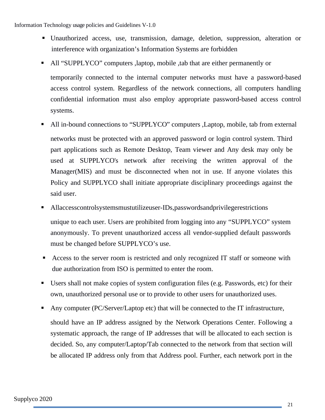- Unauthorized access, use, transmission, damage, deletion, suppression, alteration or interference with organization's Information Systems are forbidden
- All "SUPPLYCO" computers ,laptop, mobile ,tab that are either permanently or temporarily connected to the internal computer networks must have a password-based access control system. Regardless of the network connections, all computers handling confidential information must also employ appropriate password-based access control systems.
- All in-bound connections to "SUPPLYCO" computers ,Laptop, mobile, tab from external networks must be protected with an approved password or login control system. Third part applications such as Remote Desktop, Team viewer and Any desk may only be used at SUPPLYCO's network after receiving the written approval of the Manager(MIS) and must be disconnected when not in use. If anyone violates this Policy and SUPPLYCO shall initiate appropriate disciplinary proceedings against the said user.
- Allaccesscontrolsystemsmustutilizeuser-IDs,passwordsandprivilegerestrictions unique to each user. Users are prohibited from logging into any "SUPPLYCO" system anonymously. To prevent unauthorized access all vendor-supplied default passwords must be changed before SUPPLYCO's use.
- Access to the server room is restricted and only recognized IT staff or someone with due authorization from ISO is permitted to enter the room.
- Users shall not make copies of system configuration files (e.g. Passwords, etc) for their own, unauthorized personal use or to provide to other users for unauthorized uses.
- Any computer (PC/Server/Laptop etc) that will be connected to the IT infrastructure,

should have an IP address assigned by the Network Operations Center. Following a systematic approach, the range of IP addresses that will be allocated to each section is decided. So, any computer/Laptop/Tab connected to the network from that section will be allocated IP address only from that Address pool. Further, each network port in the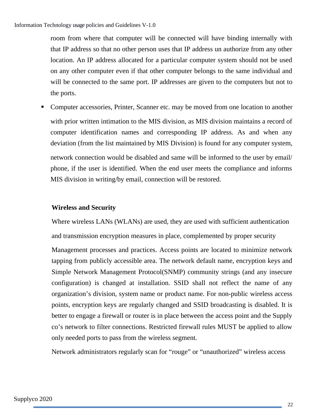room from where that computer will be connected will have binding internally with that IP address so that no other person uses that IP address un authorize from any other location. An IP address allocated for a particular computer system should not be used on any other computer even if that other computer belongs to the same individual and will be connected to the same port. IP addresses are given to the computers but not to the ports.

**• Computer accessories, Printer, Scanner etc. may be moved from one location to another** with prior written intimation to the MIS division, as MIS division maintains a record of computer identification names and corresponding IP address. As and when any deviation (from the list maintained by MIS Division) is found for any computer system, network connection would be disabled and same will be informed to the user by email/ phone, if the user is identified. When the end user meets the compliance and informs MIS division in writing/by email, connection will be restored.

# **Wireless and Security**

Where wireless LANs (WLANs) are used, they are used with sufficient authentication and transmission encryption measures in place, complemented by proper security

Management processes and practices. Access points are located to minimize network tapping from publicly accessible area. The network default name, encryption keys and Simple Network Management Protocol(SNMP) community strings (and any insecure configuration) is changed at installation. SSID shall not reflect the name of any organization's division, system name or product name. For non-public wireless access points, encryption keys are regularly changed and SSID broadcasting is disabled. It is better to engage a firewall or router is in place between the access point and the Supply co's network to filter connections. Restricted firewall rules MUST be applied to allow only needed ports to pass from the wireless segment.

Network administrators regularly scan for "rouge" or "unauthorized" wireless access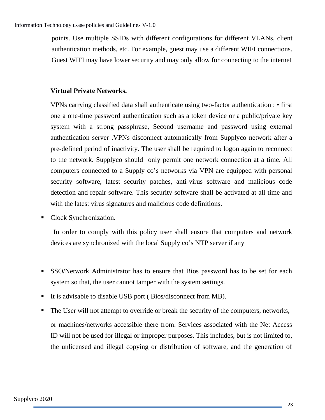points. Use multiple SSIDs with different configurations for different VLANs, client authentication methods, etc. For example, guest may use a different WIFI connections. Guest WIFI may have lower security and may only allow for connecting to the internet

# **Virtual Private Networks.**

VPNs carrying classified data shall authenticate using two-factor authentication : • first one a one-time password authentication such as a token device or a public/private key system with a strong passphrase, Second username and password using external authentication server .VPNs disconnect automatically from Supplyco network after a pre-defined period of inactivity. The user shall be required to logon again to reconnect to the network. Supplyco should only permit one network connection at a time. All computers connected to a Supply co's networks via VPN are equipped with personal security software, latest security patches, anti-virus software and malicious code detection and repair software. This security software shall be activated at all time and with the latest virus signatures and malicious code definitions.

Clock Synchronization.

 In order to comply with this policy user shall ensure that computers and network devices are synchronized with the local Supply co's NTP server if any

- SSO/Network Administrator has to ensure that Bios password has to be set for each system so that, the user cannot tamper with the system settings.
- It is advisable to disable USB port (Bios/disconnect from MB).
- The User will not attempt to override or break the security of the computers, networks, or machines/networks accessible there from. Services associated with the Net Access ID will not be used for illegal or improper purposes. This includes, but is not limited to, the unlicensed and illegal copying or distribution of software, and the generation of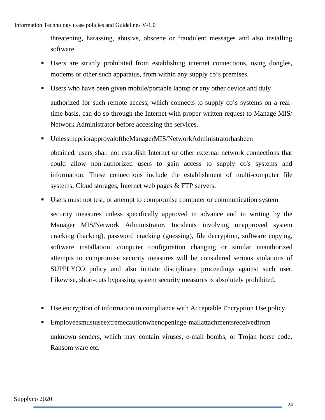threatening, harassing, abusive, obscene or fraudulent messages and also installing software.

- Users are strictly prohibited from establishing internet connections, using dongles, modems or other such apparatus, from within any supply co's premises.
- Users who have been given mobile/portable laptop or any other device and duly authorized for such remote access, which connects to supply co's systems on a realtime basis, can do so through the Internet with proper written request to Manage MIS/ Network Administrator before accessing the services.
- UnlessthepriorapprovaloftheManagerMIS/NetworkAdministratorhasbeen obtained, users shall not establish Internet or other external network connections that could allow non-authorized users to gain access to supply co's systems and information. These connections include the establishment of multi-computer file systems, Cloud storages, Internet web pages & FTP servers.
- Users must not test, or attempt to compromise computer or communication system security measures unless specifically approved in advance and in writing by the Manager MIS/Network Administrator. Incidents involving unapproved system cracking (hacking), password cracking (guessing), file decryption, software copying, software installation, computer configuration changing or similar unauthorized attempts to compromise security measures will be considered serious violations of SUPPLYCO policy and also initiate disciplinary proceedings against such user. Likewise, short-cuts bypassing system security measures is absolutely prohibited.
- Use encryption of information in compliance with Acceptable Encryption Use policy.
- Employeesmustuseextremecautionwhenopeninge-mailattachmentsreceivedfrom unknown senders, which may contain viruses, e-mail bombs, or Trojan horse code, Ransom ware etc.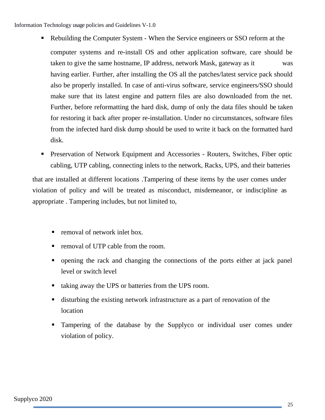- Rebuilding the Computer System When the Service engineers or SSO reform at the computer systems and re-install OS and other application software, care should be taken to give the same hostname, IP address, network Mask, gateway as it was having earlier. Further, after installing the OS all the patches/latest service pack should also be properly installed. In case of anti-virus software, service engineers/SSO should make sure that its latest engine and pattern files are also downloaded from the net. Further, before reformatting the hard disk, dump of only the data files should be taken for restoring it back after proper re-installation. Under no circumstances, software files from the infected hard disk dump should be used to write it back on the formatted hard disk.
- **Preservation of Network Equipment and Accessories Routers, Switches, Fiber optic** cabling, UTP cabling, connecting inlets to the network, Racks, UPS, and their batteries

that are installed at different locations .Tampering of these items by the user comes under violation of policy and will be treated as misconduct, misdemeanor, or indiscipline as appropriate . Tampering includes, but not limited to,

- removal of network inlet box.
- removal of UTP cable from the room.
- opening the rack and changing the connections of the ports either at jack panel level or switch level
- taking away the UPS or batteries from the UPS room.
- disturbing the existing network infrastructure as a part of renovation of the location
- Tampering of the database by the Supplyco or individual user comes under violation of policy.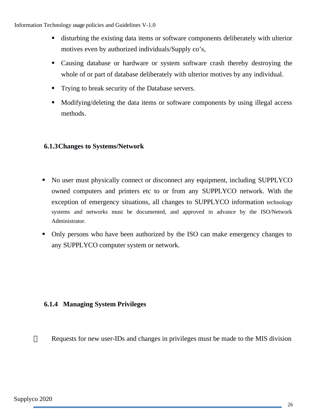- disturbing the existing data items or software components deliberately with ulterior motives even by authorized individuals/Supply co's,
- Causing database or hardware or system software crash thereby destroying the whole of or part of database deliberately with ulterior motives by any individual.
- Trying to break security of the Database servers.
- Modifying/deleting the data items or software components by using illegal access methods.

# <span id="page-25-1"></span>**6.1.3Changes to Systems/Network**

- No user must physically connect or disconnect any equipment, including SUPPLYCO owned computers and printers etc to or from any SUPPLYCO network. With the exception of emergency situations, all changes to SUPPLYCO information technology systems and networks must be documented, and approved in advance by the ISO/Network Administrator.
- Only persons who have been authorized by the ISO can make emergency changes to any SUPPLYCO computer system or network.

### <span id="page-25-0"></span>**6.1.4 Managing System Privileges**

 $\Box$  Requests for new user-IDs and changes in privileges must be made to the MIS division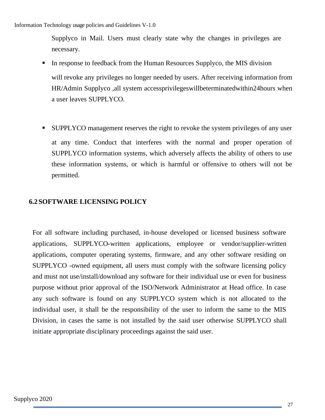Supplyco in Mail. Users must clearly state why the changes in privileges are necessary.

- In response to feedback from the Human Resources Supplyco, the MIS division will revoke any privileges no longer needed by users. After receiving information from HR/Admin Supplyco ,all system accessprivilegeswillbeterminatedwithin24hours when a user leaves SUPPLYCO.
- SUPPLYCO management reserves the right to revoke the system privileges of any user at any time. Conduct that interferes with the normal and proper operation of SUPPLYCO information systems, which adversely affects the ability of others to use these information systems, or which is harmful or offensive to others will not be permitted.

# <span id="page-26-0"></span>**6.2SOFTWARE LICENSING POLICY**

For all software including purchased, in-house developed or licensed business software applications, SUPPLYCO-written applications, employee or vendor/supplier-written applications, computer operating systems, firmware, and any other software residing on SUPPLYCO -owned equipment, all users must comply with the software licensing policy and must not use/install/download any software for their individual use or even for business purpose without prior approval of the ISO/Network Administrator at Head office. In case any such software is found on any SUPPLYCO system which is not allocated to the individual user, it shall be the responsibility of the user to inform the same to the MIS Division, in cases the same is not installed by the said user otherwise SUPPLYCO shall initiate appropriate disciplinary proceedings against the said user.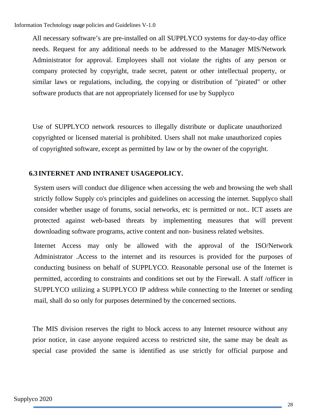All necessary software's are pre-installed on all SUPPLYCO systems for day-to-day office needs. Request for any additional needs to be addressed to the Manager MIS/Network Administrator for approval. Employees shall not violate the rights of any person or company protected by copyright, trade secret, patent or other intellectual property, or similar laws or regulations, including, the copying or distribution of "pirated" or other software products that are not appropriately licensed for use by Supplyco

Use of SUPPLYCO network resources to illegally distribute or duplicate unauthorized copyrighted or licensed material is prohibited. Users shall not make unauthorized copies of copyrighted software, except as permitted by law or by the owner of the copyright.

### <span id="page-27-0"></span>**6.3 INTERNET AND INTRANET USAGEPOLICY.**

System users will conduct due diligence when accessing the web and browsing the web shall strictly follow Supply co's principles and guidelines on accessing the internet. Supplyco shall consider whether usage of forums, social networks, etc is permitted or not.. ICT assets are protected against web-based threats by implementing measures that will prevent downloading software programs, active content and non- business related websites.

Internet Access may only be allowed with the approval of the ISO/Network Administrator .Access to the internet and its resources is provided for the purposes of conducting business on behalf of SUPPLYCO. Reasonable personal use of the Internet is permitted, according to constraints and conditions set out by the Firewall. A staff /officer in SUPPLYCO utilizing a SUPPLYCO IP address while connecting to the Internet or sending mail, shall do so only for purposes determined by the concerned sections.

The MIS division reserves the right to block access to any Internet resource without any prior notice, in case anyone required access to restricted site, the same may be dealt as special case provided the same is identified as use strictly for official purpose and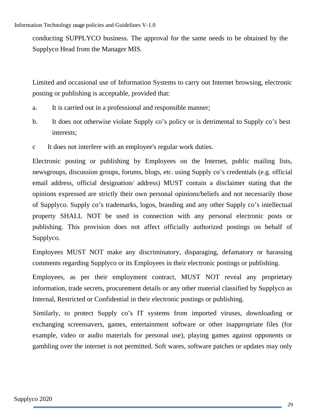conducting SUPPLYCO business. The approval for the same needs to be obtained by the Supplyco Head from the Manager MIS.

Limited and occasional use of Information Systems to carry out Internet browsing, electronic posting or publishing is acceptable, provided that:

- a. It is carried out in a professional and responsible manner;
- b. It does not otherwise violate Supply co's policy or is detrimental to Supply co's best interests;
- c It does not interfere with an employee's regular work duties.

Electronic posting or publishing by Employees on the Internet, public mailing lists, newsgroups, discussion groups, forums, blogs, etc. using Supply co's credentials (e.g. official email address, official designation/ address) MUST contain a disclaimer stating that the opinions expressed are strictly their own personal opinions/beliefs and not necessarily those of Supplyco. Supply co's trademarks, logos, branding and any other Supply co's intellectual property SHALL NOT be used in connection with any personal electronic posts or publishing. This provision does not affect officially authorized postings on behalf of Supplyco.

Employees MUST NOT make any discriminatory, disparaging, defamatory or harassing comments regarding Supplyco or its Employees in their electronic postings or publishing.

Employees, as per their employment contract, MUST NOT reveal any proprietary information, trade secrets, procurement details or any other material classified by Supplyco as Internal, Restricted or Confidential in their electronic postings or publishing.

Similarly, to protect Supply co's IT systems from imported viruses, downloading or exchanging screensavers, games, entertainment software or other inappropriate files (for example, video or audio materials for personal use), playing games against opponents or gambling over the internet is not permitted. Soft wares, software patches or updates may only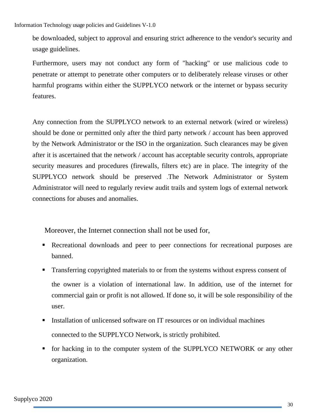be downloaded, subject to approval and ensuring strict adherence to the vendor's security and usage guidelines.

Furthermore, users may not conduct any form of "hacking" or use malicious code to penetrate or attempt to penetrate other computers or to deliberately release viruses or other harmful programs within either the SUPPLYCO network or the internet or bypass security features.

Any connection from the SUPPLYCO network to an external network (wired or wireless) should be done or permitted only after the third party network / account has been approved by the Network Administrator or the ISO in the organization. Such clearances may be given after it is ascertained that the network / account has acceptable security controls, appropriate security measures and procedures (firewalls, filters etc) are in place. The integrity of the SUPPLYCO network should be preserved .The Network Administrator or System Administrator will need to regularly review audit trails and system logs of external network connections for abuses and anomalies.

Moreover, the Internet connection shall not be used for,

- Recreational downloads and peer to peer connections for recreational purposes are banned.
- **Transferring copyrighted materials to or from the systems without express consent of** the owner is a violation of international law. In addition, use of the internet for commercial gain or profit is not allowed. If done so, it will be sole responsibility of the user.
- Installation of unlicensed software on IT resources or on individual machines connected to the SUPPLYCO Network, is strictly prohibited.
- for hacking in to the computer system of the SUPPLYCO NETWORK or any other organization.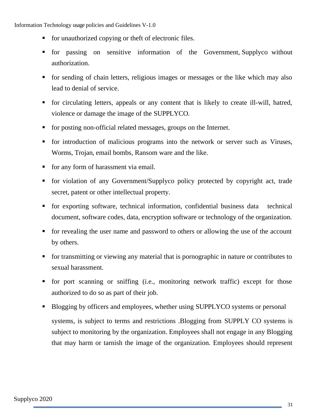- for unauthorized copying or theft of electronic files.
- for passing on sensitive information of the Government, Supplyco without authorization.
- for sending of chain letters, religious images or messages or the like which may also lead to denial of service.
- for circulating letters, appeals or any content that is likely to create ill-will, hatred, violence or damage the image of the SUPPLYCO.
- for posting non-official related messages, groups on the Internet.
- for introduction of malicious programs into the network or server such as Viruses, Worms, Trojan, email bombs, Ransom ware and the like.
- **for any form of harassment via email.**
- for violation of any Government/Supplyco policy protected by copyright act, trade secret, patent or other intellectual property.
- for exporting software, technical information, confidential business data technical document, software codes, data, encryption software or technology of the organization.
- **for revealing the user name and password to others or allowing the use of the account** by others.
- for transmitting or viewing any material that is pornographic in nature or contributes to sexual harassment.
- for port scanning or sniffing (i.e., monitoring network traffic) except for those authorized to do so as part of their job.
- **Blogging by officers and employees, whether using SUPPLYCO systems or personal** systems, is subject to terms and restrictions .Blogging from SUPPLY CO systems is subject to monitoring by the organization. Employees shall not engage in any Blogging that may harm or tarnish the image of the organization. Employees should represent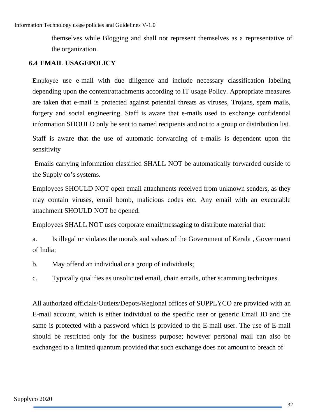themselves while Blogging and shall not represent themselves as a representative of the organization.

## <span id="page-31-0"></span>**6.4 EMAIL USAGEPOLICY**

Employee use e-mail with due diligence and include necessary classification labeling depending upon the content/attachments according to IT usage Policy. Appropriate measures are taken that e-mail is protected against potential threats as viruses, Trojans, spam mails, forgery and social engineering. Staff is aware that e-mails used to exchange confidential information SHOULD only be sent to named recipients and not to a group or distribution list.

Staff is aware that the use of automatic forwarding of e-mails is dependent upon the sensitivity

 Emails carrying information classified SHALL NOT be automatically forwarded outside to the Supply co's systems.

Employees SHOULD NOT open email attachments received from unknown senders, as they may contain viruses, email bomb, malicious codes etc. Any email with an executable attachment SHOULD NOT be opened.

Employees SHALL NOT uses corporate email/messaging to distribute material that:

a. Is illegal or violates the morals and values of the Government of Kerala , Government of India;

b. May offend an individual or a group of individuals;

c. Typically qualifies as unsolicited email, chain emails, other scamming techniques.

All authorized officials/Outlets/Depots/Regional offices of SUPPLYCO are provided with an E-mail account, which is either individual to the specific user or generic Email ID and the same is protected with a password which is provided to the E-mail user. The use of E-mail should be restricted only for the business purpose; however personal mail can also be exchanged to a limited quantum provided that such exchange does not amount to breach of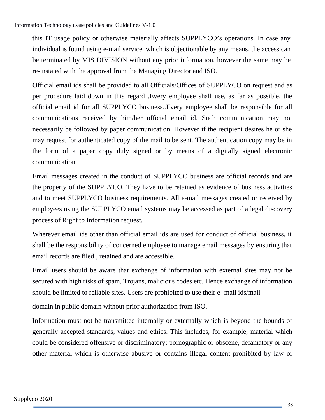this IT usage policy or otherwise materially affects SUPPLYCO's operations. In case any individual is found using e-mail service, which is objectionable by any means, the access can be terminated by MIS DIVISION without any prior information, however the same may be re-instated with the approval from the Managing Director and ISO.

Official email ids shall be provided to all Officials/Offices of SUPPLYCO on request and as per procedure laid down in this regard .Every employee shall use, as far as possible, the official email id for all SUPPLYCO business..Every employee shall be responsible for all communications received by him/her official email id. Such communication may not necessarily be followed by paper communication. However if the recipient desires he or she may request for authenticated copy of the mail to be sent. The authentication copy may be in the form of a paper copy duly signed or by means of a digitally signed electronic communication.

Email messages created in the conduct of SUPPLYCO business are official records and are the property of the SUPPLYCO. They have to be retained as evidence of business activities and to meet SUPPLYCO business requirements. All e-mail messages created or received by employees using the SUPPLYCO email systems may be accessed as part of a legal discovery process of Right to Information request.

Wherever email ids other than official email ids are used for conduct of official business, it shall be the responsibility of concerned employee to manage email messages by ensuring that email records are filed , retained and are accessible.

Email users should be aware that exchange of information with external sites may not be secured with high risks of spam, Trojans, malicious codes etc. Hence exchange of information should be limited to reliable sites. Users are prohibited to use their e- mail ids/mail

domain in public domain without prior authorization from ISO.

Information must not be transmitted internally or externally which is beyond the bounds of generally accepted standards, values and ethics. This includes, for example, material which could be considered offensive or discriminatory; pornographic or obscene, defamatory or any other material which is otherwise abusive or contains illegal content prohibited by law or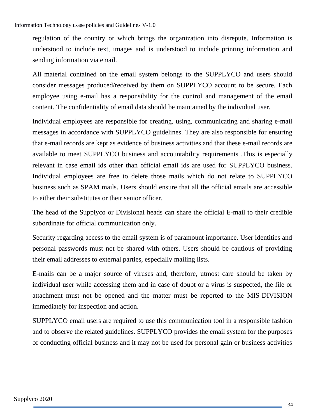regulation of the country or which brings the organization into disrepute. Information is understood to include text, images and is understood to include printing information and sending information via email.

All material contained on the email system belongs to the SUPPLYCO and users should consider messages produced/received by them on SUPPLYCO account to be secure. Each employee using e-mail has a responsibility for the control and management of the email content. The confidentiality of email data should be maintained by the individual user.

Individual employees are responsible for creating, using, communicating and sharing e-mail messages in accordance with SUPPLYCO guidelines. They are also responsible for ensuring that e-mail records are kept as evidence of business activities and that these e-mail records are available to meet SUPPLYCO business and accountability requirements .This is especially relevant in case email ids other than official email ids are used for SUPPLYCO business. Individual employees are free to delete those mails which do not relate to SUPPLYCO business such as SPAM mails. Users should ensure that all the official emails are accessible to either their substitutes or their senior officer.

The head of the Supplyco or Divisional heads can share the official E-mail to their credible subordinate for official communication only.

Security regarding access to the email system is of paramount importance. User identities and personal passwords must not be shared with others. Users should be cautious of providing their email addresses to external parties, especially mailing lists.

E-mails can be a major source of viruses and, therefore, utmost care should be taken by individual user while accessing them and in case of doubt or a virus is suspected, the file or attachment must not be opened and the matter must be reported to the MIS-DIVISION immediately for inspection and action.

SUPPLYCO email users are required to use this communication tool in a responsible fashion and to observe the related guidelines. SUPPLYCO provides the email system for the purposes of conducting official business and it may not be used for personal gain or business activities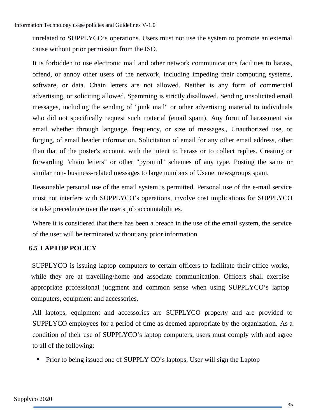unrelated to SUPPLYCO's operations. Users must not use the system to promote an external cause without prior permission from the ISO.

It is forbidden to use electronic mail and other network communications facilities to harass, offend, or annoy other users of the network, including impeding their computing systems, software, or data. Chain letters are not allowed. Neither is any form of commercial advertising, or soliciting allowed. Spamming is strictly disallowed. Sending unsolicited email messages, including the sending of "junk mail" or other advertising material to individuals who did not specifically request such material (email spam). Any form of harassment via email whether through language, frequency, or size of messages., Unauthorized use, or forging, of email header information. Solicitation of email for any other email address, other than that of the poster's account, with the intent to harass or to collect replies. Creating or forwarding "chain letters" or other "pyramid" schemes of any type. Posting the same or similar non- business-related messages to large numbers of Usenet newsgroups spam.

Reasonable personal use of the email system is permitted. Personal use of the e-mail service must not interfere with SUPPLYCO's operations, involve cost implications for SUPPLYCO or take precedence over the user's job accountabilities.

Where it is considered that there has been a breach in the use of the email system, the service of the user will be terminated without any prior information.

# <span id="page-34-0"></span>**6.5 LAPTOP POLICY**

SUPPLYCO is issuing laptop computers to certain officers to facilitate their office works, while they are at travelling/home and associate communication. Officers shall exercise appropriate professional judgment and common sense when using SUPPLYCO's laptop computers, equipment and accessories.

All laptops, equipment and accessories are SUPPLYCO property and are provided to SUPPLYCO employees for a period of time as deemed appropriate by the organization. As a condition of their use of SUPPLYCO's laptop computers, users must comply with and agree to all of the following:

Prior to being issued one of SUPPLY CO's laptops, User will sign the Laptop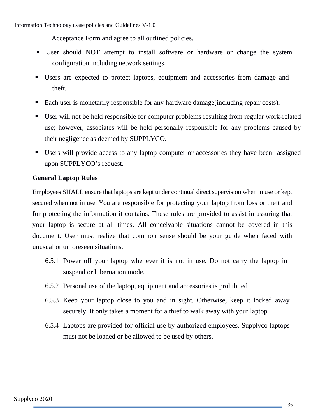Acceptance Form and agree to all outlined policies.

- User should NOT attempt to install software or hardware or change the system configuration including network settings.
- Users are expected to protect laptops, equipment and accessories from damage and theft.
- Each user is monetarily responsible for any hardware damage(including repair costs).
- User will not be held responsible for computer problems resulting from regular work-related use; however, associates will be held personally responsible for any problems caused by their negligence as deemed by SUPPLYCO.
- Users will provide access to any laptop computer or accessories they have been assigned upon SUPPLYCO's request.

# <span id="page-35-0"></span>**General Laptop Rules**

Employees SHALL ensure that laptops are kept under continual direct supervision when in use or kept secured when not in use. You are responsible for protecting your laptop from loss or theft and for protecting the information it contains. These rules are provided to assist in assuring that your laptop is secure at all times. All conceivable situations cannot be covered in this document. User must realize that common sense should be your guide when faced with unusual or unforeseen situations.

- 6.5.1 Power off your laptop whenever it is not in use. Do not carry the laptop in suspend or hibernation mode.
- 6.5.2 Personal use of the laptop, equipment and accessories is prohibited
- 6.5.3 Keep your laptop close to you and in sight. Otherwise, keep it locked away securely. It only takes a moment for a thief to walk away with your laptop.
- 6.5.4 Laptops are provided for official use by authorized employees. Supplyco laptops must not be loaned or be allowed to be used by others.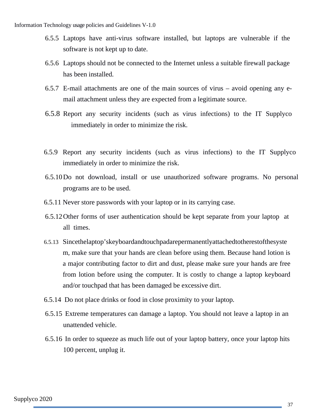- 6.5.5 Laptops have anti-virus software installed, but laptops are vulnerable if the software is not kept up to date.
- 6.5.6 Laptops should not be connected to the Internet unless a suitable firewall package has been installed.
- 6.5.7 E-mail attachments are one of the main sources of virus avoid opening any email attachment unless they are expected from a legitimate source.
- 6.5.8 Report any security incidents (such as virus infections) to the IT Supplyco immediately in order to minimize the risk.
- 6.5.9 Report any security incidents (such as virus infections) to the IT Supplyco immediately in order to minimize the risk.
- 6.5.10Do not download, install or use unauthorized software programs. No personal programs are to be used.
- 6.5.11 Never store passwords with your laptop or in its carrying case.
- 6.5.12Other forms of user authentication should be kept separate from your laptop at all times.
- 6.5.13 Sincethelaptop'skeyboardandtouchpadarepermanentlyattachedtotherestofthesyste m, make sure that your hands are clean before using them. Because hand lotion is a major contributing factor to dirt and dust, please make sure your hands are free from lotion before using the computer. It is costly to change a laptop keyboard and/or touchpad that has been damaged be excessive dirt.
- 6.5.14 Do not place drinks or food in close proximity to your laptop.
- 6.5.15 Extreme temperatures can damage a laptop. You should not leave a laptop in an unattended vehicle.
- 6.5.16 In order to squeeze as much life out of your laptop battery, once your laptop hits 100 percent, unplug it.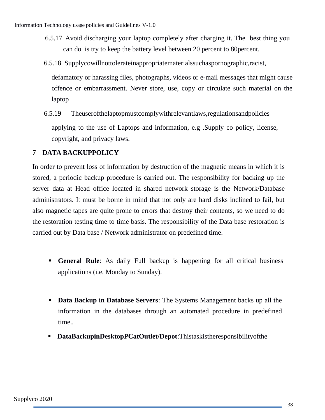- 6.5.17 Avoid discharging your laptop completely after charging it. The best thing you can do is try to keep the battery level between 20 percent to 80percent.
- 6.5.18 Supplycowillnottolerateinappropriatematerialssuchaspornographic,racist,

defamatory or harassing files, photographs, videos or e-mail messages that might cause offence or embarrassment. Never store, use, copy or circulate such material on the laptop

6.5.19 Theuserofthelaptopmustcomplywithrelevantlaws,regulationsandpolicies applying to the use of Laptops and information, e.g .Supply co policy, license, copyright, and privacy laws.

# <span id="page-37-0"></span>**7 DATA BACKUPPOLICY**

In order to prevent loss of information by destruction of the magnetic means in which it is stored, a periodic backup procedure is carried out. The responsibility for backing up the server data at Head office located in shared network storage is the Network/Database administrators. It must be borne in mind that not only are hard disks inclined to fail, but also magnetic tapes are quite prone to errors that destroy their contents, so we need to do the restoration testing time to time basis. The responsibility of the Data base restoration is carried out by Data base / Network administrator on predefined time.

- **General Rule**: As daily Full backup is happening for all critical business applications (i.e. Monday to Sunday).
- **Data Backup in Database Servers**: The Systems Management backs up all the information in the databases through an automated procedure in predefined time..
- **DataBackupinDesktopPCatOutlet/Depot**:Thistaskistheresponsibilityofthe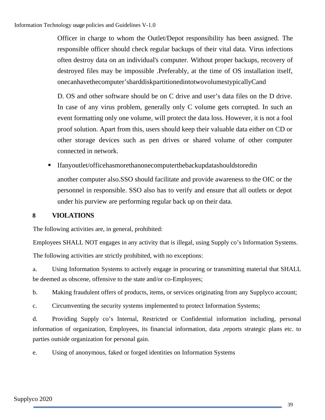Officer in charge to whom the Outlet/Depot responsibility has been assigned. The responsible officer should check regular backups of their vital data. Virus infections often destroy data on an individual's computer. Without proper backups, recovery of destroyed files may be impossible .Preferably, at the time of OS installation itself, onecanhavethecomputer'sharddiskpartitionedintotwovolumestypicallyCand

D. OS and other software should be on C drive and user's data files on the D drive. In case of any virus problem, generally only C volume gets corrupted. In such an event formatting only one volume, will protect the data loss. However, it is not a fool proof solution. Apart from this, users should keep their valuable data either on CD or other storage devices such as pen drives or shared volume of other computer connected in network.

Ifanyoutlet/officehasmorethanonecomputerthebackupdatashouldstoredin

another computer also.SSO should facilitate and provide awareness to the OIC or the personnel in responsible. SSO also has to verify and ensure that all outlets or depot under his purview are performing regular back up on their data.

# <span id="page-38-0"></span>**8 VIOLATIONS**

The following activities are, in general, prohibited:

Employees SHALL NOT engages in any activity that is illegal, using Supply co's Information Systems.

The following activities are strictly prohibited, with no exceptions:

a. Using Information Systems to actively engage in procuring or transmitting material that SHALL be deemed as obscene, offensive to the state and/or co-Employees;

b. Making fraudulent offers of products, items, or services originating from any Supplyco account;

c. Circumventing the security systems implemented to protect Information Systems;

d. Providing Supply co's Internal, Restricted or Confidential information including, personal information of organization, Employees, its financial information, data ,reports strategic plans etc. to parties outside organization for personal gain.

e. Using of anonymous, faked or forged identities on Information Systems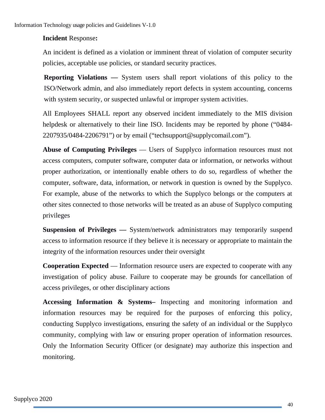# **Incident** Response**:**

An incident is defined as a violation or imminent threat of violation of computer security policies, acceptable use policies, or standard security practices.

**Reporting Violations —** System users shall report violations of this policy to the ISO/Network admin, and also immediately report defects in system accounting, concerns with system security, or suspected unlawful or improper system activities.

All Employees SHALL report any observed incident immediately to the MIS division helpdesk or alternatively to their line ISO. Incidents may be reported by phone ("0484- 2207935/0484-2206791") or by email ("techsupport@supplycomail.com").

**Abuse of Computing Privileges** — Users of Supplyco information resources must not access computers, computer software, computer data or information, or networks without proper authorization, or intentionally enable others to do so, regardless of whether the computer, software, data, information, or network in question is owned by the Supplyco. For example, abuse of the networks to which the Supplyco belongs or the computers at other sites connected to those networks will be treated as an abuse of Supplyco computing privileges

**Suspension of Privileges —** System/network administrators may temporarily suspend access to information resource if they believe it is necessary or appropriate to maintain the integrity of the information resources under their oversight

**Cooperation Expected** — Information resource users are expected to cooperate with any investigation of policy abuse. Failure to cooperate may be grounds for cancellation of access privileges, or other disciplinary actions

**Accessing Information & Systems–** Inspecting and monitoring information and information resources may be required for the purposes of enforcing this policy, conducting Supplyco investigations, ensuring the safety of an individual or the Supplyco community, complying with law or ensuring proper operation of information resources. Only the Information Security Officer (or designate) may authorize this inspection and monitoring.